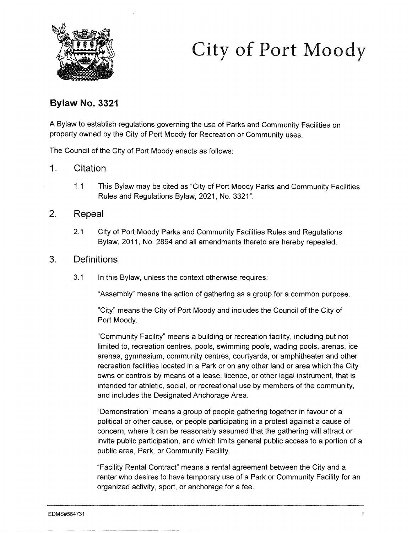

# City of Port Moody

## Bylaw No. 3321

A Bylaw to establish regulations governing the use of Parks and Community Facilities on property owned by the City of Port Moody for Recreation or Community uses.

The Council of the City of Port Moody enacts as follows:

#### 1. Citation

1.1 This Bylaw may be cited as "City of Port Moody Parks and Community Facilities Rules and Regulations Bylaw, 2021, No. 3321".

#### 2. Repeal

2.1 City of Port Moody Parks and Community Facilities Rules and Regulations Bylaw, 2011, No. 2894 and all amendments thereto are hereby repealed.

#### 3. Definitions

3.1 In this Bylaw, unless the context otherwise requires:

"Assembly" means the action of gathering as a group for a common purpose.

"City" means the City of Port Moody and includes the Council of the City of Port Moody.

"Community Facility" means a building or recreation facility, including but not limited to, recreation centres, pools, swimming pools, wading pools, arenas, ice arenas, gymnasium, community centres, courtyards, or amphitheater and other recreation facilities located in a Park or on any other land or area which the City owns or controls by means of a lease, licence, or other legal instrument, that is intended for athletic, social, or recreational use by members of the community, and includes the Designated Anchorage Area.

"Demonstration" means a group of people gathering together in favour of a political or other cause, or people participating in a protest against a cause of concern, where it can be reasonably assumed that the gathering will attract or invite public participation, and which limits general public access to a portion of a public area, Park, or Community Facility.

"Facility Rental Contract" means a rental agreement between the City and a renter who desires to have temporary use of a Park or Community Facility for an organized activity, sport, or anchorage for a fee.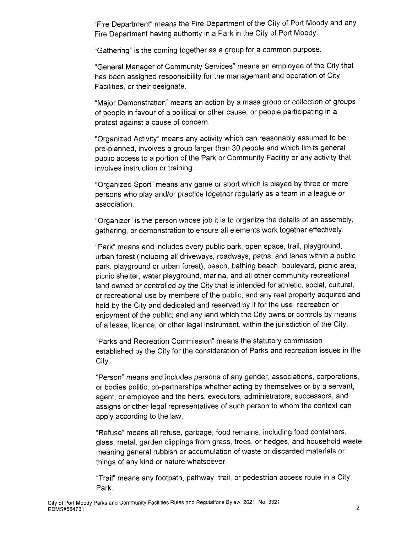"Fire Department" means the Fire Department of the City of Port Moody and any Fire Department having authority in a Park in the City of Port Moody.

"Gathering" is the coming together as a group for a common purpose.

"General Manager of Community Services" means an employee of the City that has been assigned responsibility for the management and operation of City Facilities, or their designate.

"Major Demonstration" means an action by a mass group or collection of groups of people in favour of a political or other cause, or people participating in a protest against a cause of concern.

"Organized Activity" means any activity which can reasonably assumed to be pre-planned, involves a group larger than 30 people and which limits general public access to a portion of the Park or Community Facility or any activity that involves instruction or training.

"Organized Sport" means any game or sport which is played by three or more persons who play and/or practice together regularly as a team in a league or association.

"Organizer" is the person whose job it is to organize the details of an assembly, gathering, or demonstration to ensure all elements work together effectively.

"Park" means and includes every public park, open space, trail, playground, urban forest (including all driveways, roadways, paths, and lanes within a public park, playground or urban forest), beach, bathing beach, boulevard, picnic area, picnic shelter, water playground, marina, and all other community recreational land owned or controlled by the City that is intended for athletic, social, cultural, or recreational use by members of the public; and any real property acquired and held by the City and dedicated and reserved by it for the use, recreation or enjoyment of the public; and any land which the City owns or controls by means of a lease, licence, or other legal instrument, within the jurisdiction of the City.

"Parks and Recreation Commission" means the statutory commission established by the City for the consideration of Parks and recreation issues in the City.

"Person" means and includes persons of any gender, associations, corporations, or bodies politic, co-partnerships whether acting by themselves or by a servant, agent, or employee and the heirs, executors, administrators, successors, and assigns or other legal representatives of such person to whom the context can apply according to the law.

"Refuse" means all refuse, garbage, food remains, including food containers, glass, metal, garden clippings from grass, trees, or hedges, and household waste meaning general rubbish or accumulation of waste or discarded materials or things of any kind or nature whatsoever.

Trail" means any footpath, pathway, trail, or pedestrian access route in a City Park. Train Thearts arry footpath, pathway, train, or pedestriant access route in a City<br>Park.<br>City of Port Moody Parks and Community Facilities Rules and Regulations Bylaw, 2021, No. 3321<br>EDMS#564731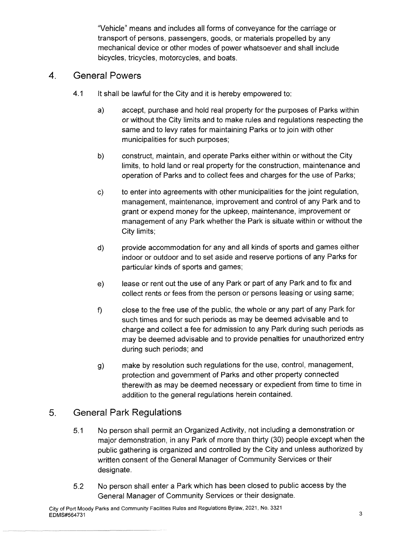"Vehicle" means and includes all forms of conveyance for the carriage or transport of persons, passengers, goods, or materials propelled by any mechanical device or other modes of power whatsoever and shall include bicycles, tricycles, motorcycles, and boats.

## 4. General Powers

- 4.1 It shall be lawful for the City and it is hereby empowered to:
	- a) accept, purchase and hold real property for the purposes of Parks within or without the City limits and to make rules and regulations respecting the same and to levy rates for maintaining Parks or to join with other municipalities for such purposes;
	- b) construct, maintain, and operate Parks either within or without the City limits, to hold land or real property for the construction, maintenance and operation of Parks and to collect fees and charges for the use of Parks;
	- c) to enter into agreements with other municipalities for the joint regulation, management, maintenance, improvement and control of any Park and to grant or expend money for the upkeep, maintenance, improvement or management of any Park whether the Park is situate within or without the City limits;
	- d) provide accommodation for any and all kinds of sports and games either indoor or outdoor and to set aside and reserve portions of any Parks for particular kinds of sports and games;
	- e) lease or rent out the use of any Park or part of any Park and to fix and collect rents or fees from the person or persons leasing or using same;
	- f) close to the free use of the public, the whole or any part of any Park for such times and for such periods as may be deemed advisable and to charge and collect a fee for admission to any Park during such periods as may be deemed advisable and to provide penalties for unauthorized entry during such periods; and
	- g) make by resolution such regulations for the use, control, management, protection and government of Parks and other property connected therewith as may be deemed necessary or expedient from time to time in addition to the general regulations herein contained.

# 5. General Park Regulations

- 5.1 No person shall permit an Organized Activity, not including a demonstration or major demonstration, in any Park of more than thirty (30) people except when the public gathering is organized and controlled by the City and unless authorized by written consent of the General Manager of Community Services or their designate.
- 5.2 No person shall enter a Park which has been closed to public access by the General Manager of Community Services or their designate.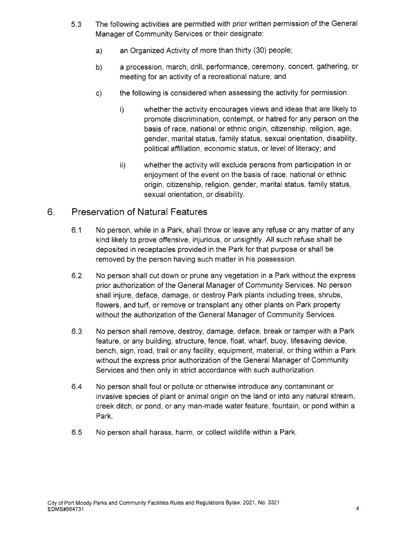- 5.3 The following activities are permitted with prior written permission of the General Manager of Community Services or their designate:
	- a) an Organized Activity of more than thirty (30) people;
	- b) a procession, march, drill, performance, ceremony, concert, gathering, or meeting for an activity of a recreational nature; and
	- c) the following is considered when assessing the activity for permission:
		- i) whether the activity encourages views and ideas that are likely to promote discrimination, contempt, or hatred for any person on the basis of race, national or ethnic origin, citizenship, religion, age, gender, marital status, family status, sexual orientation, disability, political affiliation, economic status, or level of literacy; and
		- ii) whether the activity will exclude persons from participation in or enjoyment of the event on the basis of race, national or ethnic origin, citizenship, religion, gender, marital status, family status, sexual orientation, or disability.

## 6. Preservation of Natural Features

- 6.1 No person, while in a Park, shall throw or leave any refuse or any matter of any kind likely to prove offensive, injurious, or unsightly. All such refuse shall be deposited in receptacles provided in the Park for that purpose or shall be removed by the person having such matter in his possession.
- 6.2 No person shall cut down or prune any vegetation in a Park without the express prior authorization of the General Manager of Community Services. No person shall injure, deface, damage, or destroy Park plants including trees, shrubs, flowers, and turf, or remove or transplant any other plants on Park property without the authorization of the General Manager of Community Services.
- 6.3 No person shall remove, destroy, damage, deface, break or tamper with a Park feature, or any building, structure, fence, float, wharf, buoy, lifesaving device, bench, sign, road, trail or any facility, equipment, material, or thing within a Park without the express prior authorization of the General Manager of Community Services and then only in strict accordance with such authorization.
- 6.4 No person shall foul or pollute or otherwise introduce any contaminant or invasive species of plant or animal origin on the land or into any natural stream, creek ditch, or pond, or any man-made water feature, fountain, or pond within a Park.
- 6.5 No person shall harass, harm, or collect wildlife within a Park.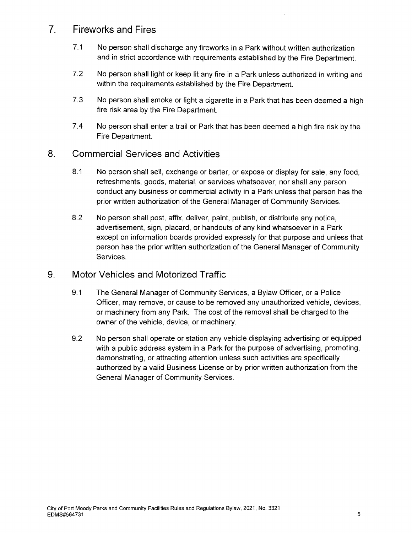# 7. Fireworks and Fires

- 7.1 No person shall discharge any fireworks in a Park without written authorization and in strict accordance with requirements established by the Fire Department.
- 7.2 No person shall light or keep lit any fire in a Park unless authorized in writing and within the requirements established by the Fire Department.
- 7.3 No person shall smoke or light a cigarette in a Park that has been deemed a high fire risk area by the Fire Department.
- 7.4 No person shall enter a trail or Park that has been deemed a high fire risk by the Fire Department.

### 8. Commercial Services and Activities

- 8.1 No person shall sell, exchange or barter, or expose or display for sale, any food, refreshments, goods, material, or services whatsoever, nor shall any person conduct any business or commercial activity in a Park unless that person has the prior written authorization of the General Manager of Community Services.
- 8.2 No person shall post, affix, deliver, paint, publish, or distribute any notice, advertisement, sign, placard, or handouts of any kind whatsoever in a Park except on information boards provided expressly for that purpose and unless that person has the prior written authorization of the General Manager of Community Services.

#### 9. Motor Vehicles and Motorized Traffic

- 9.1 The General Manager of Community Services, a Bylaw Officer, or a Police Officer, may remove, or cause to be removed any unauthorized vehicle, devices, or machinery from any Park. The cost of the removal shall be charged to the owner of the vehicle, device, or machinery.
- 9.2 No person shall operate or station any vehicle displaying advertising or equipped with a public address system in a Park for the purpose of advertising, promoting, demonstrating, or attracting attention unless such activities are specifically authorized by a valid Business License or by prior written authorization from the General Manager of Community Services.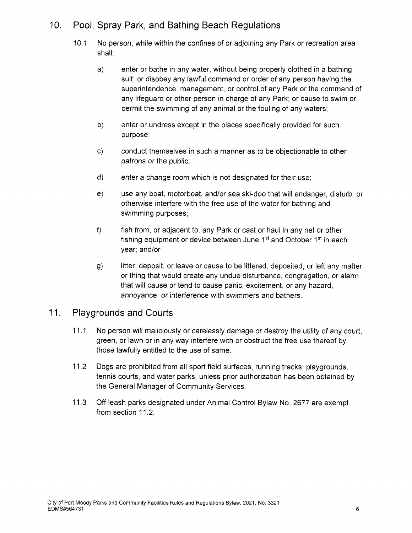# 10. Pool, Spray Park, and Bathing Beach Regulations

- 10.1 No person, while within the confines of or adjoining any Park or recreation area shall:
	- a) enter or bathe in any water, without being properly clothed in a bathing suit; or disobey any lawful command or order of any person having the superintendence, management, or control of any Park or the command of any lifeguard or other person in charge of any Park; or cause to swim or permit the swimming of any animal or the fouling of any waters;
	- b) enter or undress except in the places specifically provided for such purpose;
	- c) conduct themselves in such a manner as to be objectionable to other patrons or the public;
	- d) enter a change room which is not designated for their use;
	- e) use any boat, motorboat, and/or sea ski-doo that will endanger, disturb, or otherwise interfere with the free use of the water for bathing and swimming purposes;
	- f) fish from, or adjacent to, any Park or cast or haul in any net or other fishing equipment or device between June  $1<sup>st</sup>$  and October  $1<sup>st</sup>$  in each year; and/or
	- g) litter, deposit, or leave or cause to be littered, deposited, or left any matter or thing that would create any undue disturbance, congregation, or alarm that will cause or tend to cause panic, excitement, or any hazard, annoyance, or interference with swimmers and bathers.

## 11. Playgrounds and Courts

- 11.1 No person will maliciously or carelessly damage or destroy the utility of any court, green, or lawn or in any way interfere with or obstruct the free use thereof by those lawfully entitled to the use of same.
- 11.2 Dogs are prohibited from all sport field surfaces, running tracks, playgrounds, tennis courts, and water parks, unless prior authorization has been obtained by the General Manager of Community Services.
- 11.3 Off leash parks designated under Animal Control Bylaw No. 2677 are exempt from section 11.2.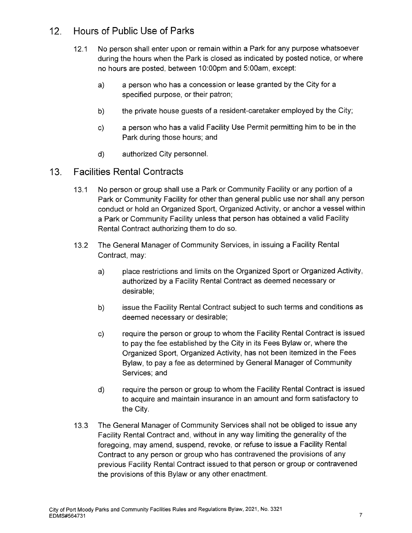# 12. Hours of Public Use of Parks

- 12.1 No person shall enter upon or remain within a Park for any purpose whatsoever during the hours when the Park is closed as indicated by posted notice, or where no hours are posted, between 10:00pm and 5:00am, except:
	- a) a person who has a concession or lease granted by the City for a specified purpose, or their patron;
	- b) the private house guests of a resident-caretaker employed by the City;
	- c) a person who has a valid Facility Use Permit permitting him to be in the Park during those hours; and
	- d) authorized City personnel.
- 13. Facilities Rental Contracts
	- 13.1 No person or group shall use a Park or Community Facility or any portion of a Park or Community Facility for other than general public use nor shall any person conduct or hold an Organized Sport, Organized Activity, or anchor a vessel within a Park or Community Facility unless that person has obtained a valid Facility Rental Contract authorizing them to do so.
	- 13.2 The General Manager of Community Services, in issuing a Facility Rental Contract, may:
		- a) place restrictions and limits on the Organized Sport or Organized Activity, authorized by a Facility Rental Contract as deemed necessary or desirable;
		- b) issue the Facility Rental Contract subject to such terms and conditions as deemed necessary or desirable;
		- c) require the person or group to whom the Facility Rental Contract is issued to pay the fee established by the City in its Fees Bylaw or, where the Organized Sport, Organized Activity, has not been itemized in the Fees Bylaw, to pay a fee as determined by General Manager of Community Services; and
		- d) require the person or group to whom the Facility Rental Contract is issued to acquire and maintain insurance in an amount and form satisfactory to the City.
	- 13.3 The General Manager of Community Services shall not be obliged to issue any Facility Rental Contract and, without in any way limiting the generality of the foregoing, may amend, suspend, revoke, or refuse to issue a Facility Rental Contract to any person or group who has contravened the provisions of any previous Facility Rental Contract issued to that person or group or contravened the provisions of this Bylaw or any other enactment.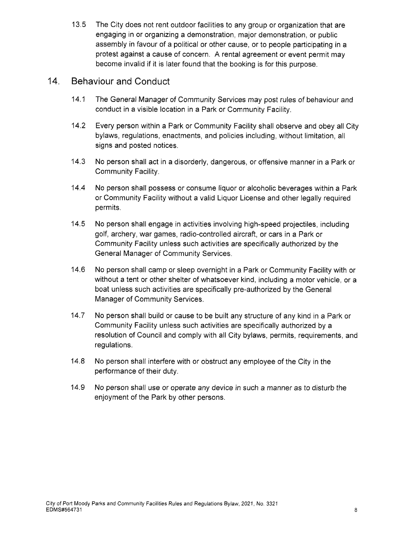13.5 The City does not rent outdoor facilities to any group or organization that are engaging in or organizing a demonstration, major demonstration, or public assembly in favour of a political or other cause, or to people participating in a protest against a cause of concern. A rental agreement or event permit may become invalid if it is later found that the booking is for this purpose.

## 14. Behaviour and Conduct

- 14.1 The General Manager of Community Services may post rules of behaviour and conduct in a visible location in a Park or Community Facility.
- 14.2 Every person within a Park or Community Facility shall observe and obey all City bylaws, regulations, enactments, and policies including, without limitation, all signs and posted notices.
- 14.3 No person shall act in a disorderly, dangerous, or offensive manner in a Park or Community Facility.
- 14.4 No person shall possess or consume liquor or alcoholic beverages within a Park or Community Facility without a valid Liquor License and other legally required permits.
- 14.5 No person shall engage in activities involving high-speed projectiles, including golf, archery, war games, radio-controlled aircraft, or cars in a Park or Community Facility unless such activities are specifically authorized by the General Manager of Community Services.
- 14.6 No person shall camp or sleep overnight in a Park or Community Facility with or without a tent or other shelter of whatsoever kind, including a motor vehicle, or a boat unless such activities are specifically pre-authorized by the General Manager of Community Services.
- 14.7 No person shall build or cause to be built any structure of any kind in a Park or Community Facility unless such activities are specifically authorized by a resolution of Council and comply with all City bylaws, permits, requirements, and regulations.
- 14.8 No person shall interfere with or obstruct any employee of the City in the performance of their duty.
- 14.9 No person shall use or operate any device in such a manner as to disturb the enjoyment of the Park by other persons.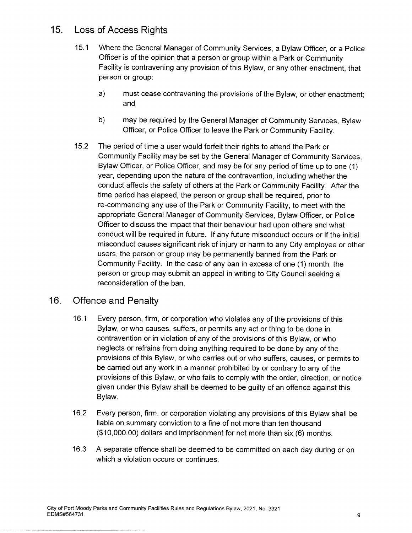# 15. Loss of Access Rights

- 15.1 Where the General Manager of Community Services, a Bylaw Officer, or a Police Officer is of the opinion that a person or group within a Park or Community Facility is contravening any provision of this Bylaw, or any other enactment, that person or group:
	- a) must cease contravening the provisions of the Bylaw, or other enactment; and
	- b) may be required by the General Manager of Community Services, Bylaw Officer, or Police Officer to leave the Park or Community Facility.
- 15.2 The period of time a user would forfeit their rights to attend the Park or Community Facility may be set by the General Manager of Community Services, Bylaw Officer, or Police Officer, and may be for any period of time up to one (1) year, depending upon the nature of the contravention, including whether the conduct affects the safety of others at the Park or Community Facility. After the time period has elapsed, the person or group shall be required, prior to re-commencing any use of the Park or Community Facility, to meet with the appropriate General Manager of Community Services, Bylaw Officer, or Police Officer to discuss the impact that their behaviour had upon others and what conduct will be required in future. If any future misconduct occurs or if the initial misconduct causes significant risk of injury or harm to any City employee or other users, the person or group may be permanently banned from the Park or Community Facility. In the case of any ban in excess of one (1) month, the person or group may submit an appeal in writing to City Council seeking a reconsideration of the ban.

# 16. Offence and Penalty

- 16.1 Every person, firm, or corporation who violates any of the provisions of this Bylaw, or who causes, suffers, or permits any act or thing to be done in contravention or in violation of any of the provisions of this Bylaw, or who neglects or refrains from doing anything required to be done by any of the provisions of this Bylaw, or who carries out or who suffers, causes, or permits to be carried out any work in a manner prohibited by or contrary to any of the provisions of this Bylaw, or who fails to comply with the order, direction, or notice given under this Bylaw shall be deemed to be guilty of an offence against this Bylaw.
- 16.2 Every person, firm, or corporation violating any provisions of this Bylaw shall be liable on summary conviction to a fine of not more than ten thousand (\$10,000.00) dollars and imprisonment for not more than six (6) months.
- 16.3 A separate offence shall be deemed to be committed on each day during or on which a violation occurs or continues.